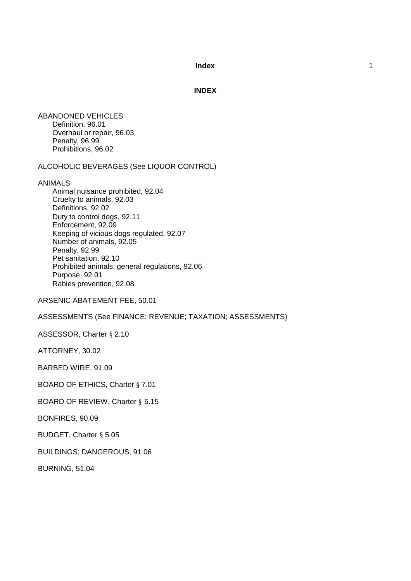**INDEX**

ABANDONED VEHICLES Definition, 96.01 Overhaul or repair, 96.03 Penalty, 96.99 Prohibitions, 96.02

ALCOHOLIC BEVERAGES (See LIQUOR CONTROL)

ANIMALS

Animal nuisance prohibited, 92.04 Cruelty to animals, 92.03 Definitions, 92.02 Duty to control dogs, 92.11 Enforcement, 92.09 Keeping of vicious dogs regulated, 92.07 Number of animals, 92.05 Penalty, 92.99 Pet sanitation, 92.10 Prohibited animals; general regulations, 92.06 Purpose, 92.01 Rabies prevention, 92.08

ARSENIC ABATEMENT FEE, 50.01

ASSESSMENTS (See FINANCE; REVENUE; TAXATION; ASSESSMENTS)

ASSESSOR, Charter § 2.10

ATTORNEY, 30.02

BARBED WIRE, 91.09

BOARD OF ETHICS, Charter § 7.01

BOARD OF REVIEW, Charter § 5.15

BONFIRES, 90.09

BUDGET, Charter § 5.05

BUILDINGS; DANGEROUS, 91.06

BURNING, 51.04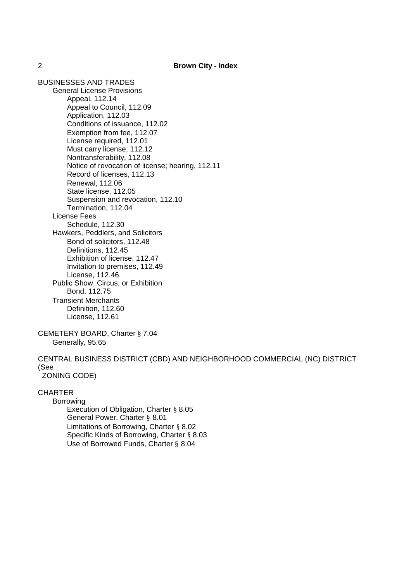BUSINESSES AND TRADES General License Provisions Appeal, 112.14 Appeal to Council, 112.09 Application, 112.03 Conditions of issuance, 112.02 Exemption from fee, 112.07 License required, 112.01 Must carry license, 112.12 Nontransferability, 112.08 Notice of revocation of license; hearing, 112.11 Record of licenses, 112.13 Renewal, 112.06 State license, 112.05 Suspension and revocation, 112.10 Termination, 112.04 License Fees Schedule, 112.30 Hawkers, Peddlers, and Solicitors Bond of solicitors, 112.48 Definitions, 112.45 Exhibition of license, 112.47 Invitation to premises, 112.49 License, 112.46 Public Show, Circus, or Exhibition Bond, 112.75 Transient Merchants Definition, 112.60 License, 112.61

CEMETERY BOARD, Charter § 7.04 Generally, 95.65

CENTRAL BUSINESS DISTRICT (CBD) AND NEIGHBORHOOD COMMERCIAL (NC) DISTRICT (See ZONING CODE)

## **CHARTER**

Borrowing Execution of Obligation, Charter § 8.05 General Power, Charter § 8.01 Limitations of Borrowing, Charter § 8.02 Specific Kinds of Borrowing, Charter § 8.03 Use of Borrowed Funds, Charter § 8.04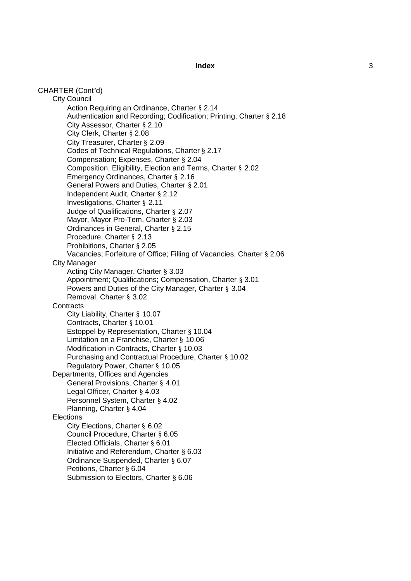CHARTER (Cont 'd) City Council Action Requiring an Ordinance, Charter § 2.14 Authentication and Recording; Codification; Printing, Charter § 2.18 City Assessor, Charter § 2.10 City Clerk, Charter § 2.08 City Treasurer, Charter § 2.09 Codes of Technical Regulations, Charter § 2.17 Compensation; Expenses, Charter § 2.04 Composition, Eligibility, Election and Terms, Charter § 2.02 Emergency Ordinances, Charter § 2.16 General Powers and Duties, Charter § 2.01 Independent Audit, Charter § 2.12 Investigations, Charter § 2.11 Judge of Qualifications, Charter § 2.07 Mayor, Mayor Pro -Tem, Charter § 2.03 Ordinances in General, Charter § 2.15 Procedure, Charter § 2.13 Prohibitions, Charter § 2.05 Vacancies; Forfeiture of Office; Filling of Vacancies, Charter § 2.06 City Manager Acting City Manager, Charter § 3.03 Appointment; Qualifications; Compensation, Charter § 3.01 Powers and Duties of the City Manager, Charter § 3.04 Removal, Charter § 3.02 **Contracts** City Liability, Charter § 10.07 Contracts, Charter § 10.01 Estoppel by Representation, Charter § 10.04 Limitation on a Franchise, Charter § 10.06 Modification in Contracts, Charter § 10.03 Purchasing and Contractual Procedure, Charter § 10.02 Regulatory Power, Charter § 10.05 Departments, Offices and Agencies General Provisions, Charter § 4.01 Legal Officer, Charter § 4.03 Personnel System, Charter § 4.02 Planning, Charter § 4.04 **Elections** City Elections, Charter § 6.02 Council Procedure, Charter § 6.05 Elected Officials, Charter § 6.01 Initiative and Referendum, Charter § 6.03 Ordinance Suspended, Charter § 6.07 Petitions, Charter § 6.04 Submission to Electors, Charter § 6.06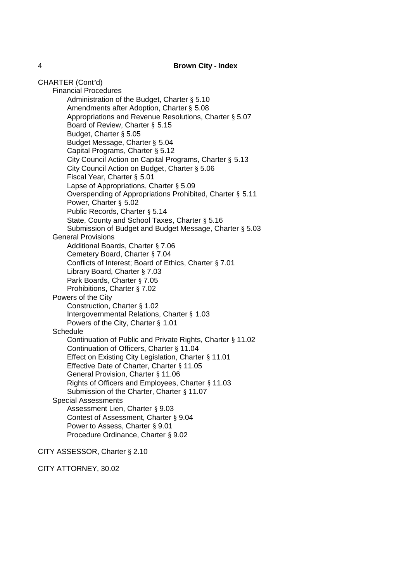### 4 **Brown City - Index**

CHARTER (Cont'd)

Financial Procedures

Administration of the Budget, Charter § 5.10 Amendments after Adoption, Charter § 5.08 Appropriations and Revenue Resolutions, Charter § 5.07 Board of Review, Charter § 5.15 Budget, Charter § 5.05 Budget Message, Charter § 5.04 Capital Programs, Charter § 5.12 City Council Action on Capital Programs, Charter § 5.13 City Council Action on Budget, Charter § 5.06 Fiscal Year, Charter § 5.01 Lapse of Appropriations, Charter § 5.09 Overspending of Appropriations Prohibited, Charter § 5.11 Power, Charter § 5.02 Public Records, Charter § 5.14 State, County and School Taxes, Charter § 5.16 Submission of Budget and Budget Message, Charter § 5.03 General Provisions Additional Boards, Charter § 7.06 Cemetery Board, Charter § 7.04 Conflicts of Interest; Board of Ethics, Charter § 7.01 Library Board, Charter § 7.03 Park Boards, Charter § 7.05 Prohibitions, Charter § 7.02 Powers of the City Construction, Charter § 1.02 Intergovernmental Relations, Charter § 1.03 Powers of the City, Charter § 1.01 **Schedule** Continuation of Public and Private Rights, Charter § 11.02 Continuation of Officers, Charter § 11.04 Effect on Existing City Legislation, Charter § 11.01 Effective Date of Charter, Charter § 11.05 General Provision, Charter § 11.06 Rights of Officers and Employees, Charter § 11.03 Submission of the Charter, Charter § 11.07 Special Assessments Assessment Lien, Charter § 9.03 Contest of Assessment, Charter § 9.04 Power to Assess, Charter § 9.01 Procedure Ordinance, Charter § 9.02

CITY ASSESSOR, Charter § 2.10

CITY ATTORNEY, 30.02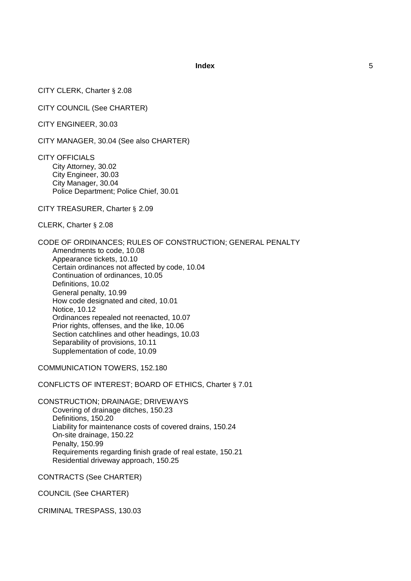CITY CLERK, Charter § 2.08

CITY COUNCIL (See CHARTER)

CITY ENGINEER, 30.03

CITY MANAGER, 30.04 (See also CHARTER)

CITY OFFICIALS City Attorney, 30.02 City Engineer, 30.03 City Manager, 30.04 Police Department; Police Chief, 30.01

CITY TREASURER, Charter § 2.09

CLERK, Charter § 2.08

CODE OF ORDINANCES; RULES OF CONSTRUCTION; GENERAL PENALTY Amendments to code, 10.08 Appearance tickets, 10.10 Certain ordinances not affected by code, 10.04 Continuation of ordinances, 10.05 Definitions, 10.02 General penalty, 10.99 How code designated and cited, 10.01 Notice, 10.12 Ordinances repealed not reenacted, 10.07 Prior rights, offenses, and the like, 10.06 Section catchlines and other headings, 10.03 Separability of provisions, 10.11 Supplementation of code, 10.09

COMMUNICATION TOWERS, 152.180

CONFLICTS OF INTEREST; BOARD OF ETHICS, Charter § 7.01

CONSTRUCTION; DRAINAGE; DRIVEWAYS Covering of drainage ditches, 150.23 Definitions, 150.20 Liability for maintenance costs of covered drains, 150.24 On-site drainage, 150.22 Penalty, 150.99 Requirements regarding finish grade of real estate, 150.21 Residential driveway approach, 150.25

CONTRACTS (See CHARTER)

COUNCIL (See CHARTER)

CRIMINAL TRESPASS, 130.03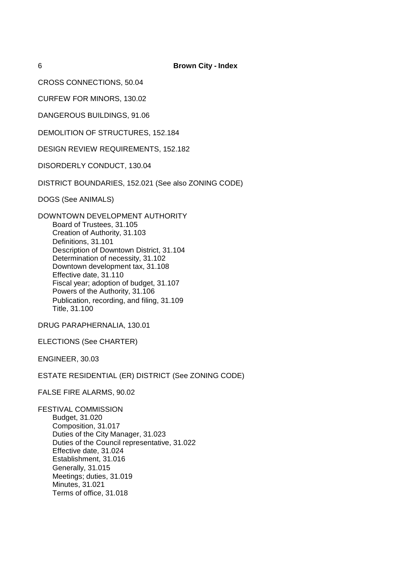6 **Brown City - Index**

CROSS CONNECTIONS, 50.04

CURFEW FOR MINORS, 130.02

DANGEROUS BUILDINGS, 91.06

DEMOLITION OF STRUCTURES, 152.184

DESIGN REVIEW REQUIREMENTS, 152.182

DISORDERLY CONDUCT, 130.04

DISTRICT BOUNDARIES, 152.021 (See also ZONING CODE)

DOGS (See ANIMALS)

DOWNTOWN DEVELOPMENT AUTHORITY Board of Trustees, 31.105 Creation of Authority, 31.103 Definitions, 31.101 Description of Downtown District, 31.104 Determination of necessity, 31.102 Downtown development tax, 31.108 Effective date, 31.110 Fiscal year; adoption of budget, 31.107 Powers of the Authority, 31.106 Publication, recording, and filing, 31.109 Title, 31.100

DRUG PARAPHERNALIA, 130.01

ELECTIONS (See CHARTER)

ENGINEER, 30.03

ESTATE RESIDENTIAL (ER) DISTRICT (See ZONING CODE)

FALSE FIRE ALARMS, 90.02

FESTIVAL COMMISSION Budget, 31.020 Composition, 31.017 Duties of the City Manager, 31.023 Duties of the Council representative, 31.022 Effective date, 31.024 Establishment, 31.016 Generally, 31.015 Meetings; duties, 31.019 Minutes, 31.021 Terms of office, 31.018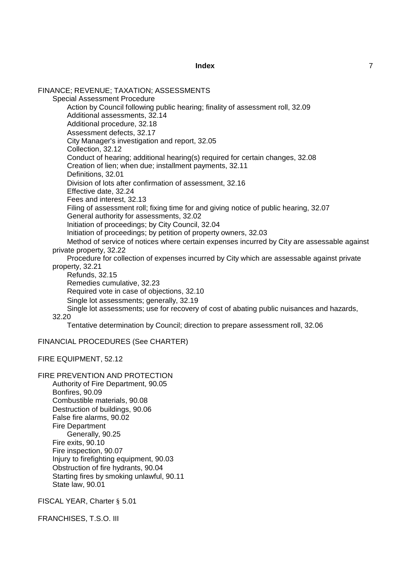FINANCE; REVENUE; TAXATION; ASSESSMENTS Special Assessment Procedure Action by Council following public hearing; finality of assessment roll, 32.09 Additional assessments, 32.14 Additional procedure, 32.18 Assessment defects, 32.17 City Manager's investigation and report, 32.05 Collection, 32.12 Conduct of hearing; additional hearing(s) required for certain changes, 32.08 Creation of lien; when due; installment payments, 32.11 Definitions, 32.01 Division of lots after confirmation of assessment, 32.16 Effective date, 32.24 Fees and interest, 32.13 Filing of assessment roll; fixing time for and giving notice of public hearing, 32.07 General authority for assessments, 32.02 Initiation of proceedings; by City Council, 32.04 Initiation of proceedings; by petition of property owners, 32.03 Method of service of notices where certain expenses incurred by City are assessable against private property, 32.22 Procedure for collection of expenses incurred by City which are assessable against private property, 32.21 Refunds, 32.15 Remedies cumulative, 32.23 Required vote in case of objections, 32.10 Single lot assessments; generally, 32.19 Single lot assessments; use for recovery of cost of abating public nuisances and hazards, 32.20 Tentative determination by Council; direction to prepare assessment roll, 32.06 FINANCIAL PROCEDURES (See CHARTER) FIRE EQUIPMENT, 52.12 FIRE PREVENTION AND PROTECTION Authority of Fire Department, 90.05 Bonfires, 90.09 Combustible materials, 90.08 Destruction of buildings, 90.06 False fire alarms, 90.02 Fire Department

Generally, 90.25 Fire exits, 90.10 Fire inspection, 90.07 Injury to firefighting equipment, 90.03 Obstruction of fire hydrants, 90.04

Starting fires by smoking unlawful, 90.11 State law, 90.01

FISCAL YEAR, Charter § 5.01

FRANCHISES, T.S.O. III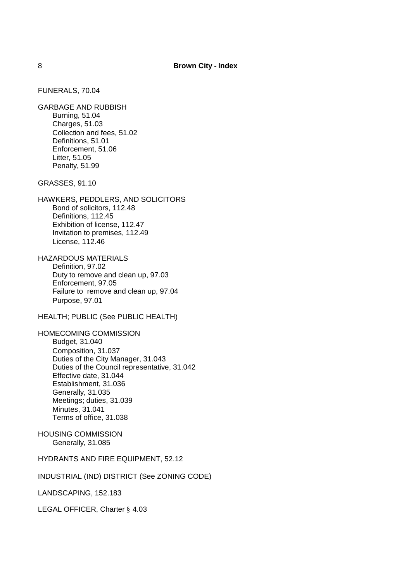FUNERALS, 70.04

GARBAGE AND RUBBISH Burning, 51.04 Charges, 51.03 Collection and fees, 51.02 Definitions, 51.01 Enforcement, 51.06 Litter, 51.05 Penalty, 51.99

GRASSES, 91.10

HAWKERS, PEDDLERS, AND SOLICITORS Bond of solicitors, 112.48 Definitions, 112.45 Exhibition of license, 112.47 Invitation to premises, 112.49 License, 112.46

HAZARDOUS MATERIALS Definition, 97.02 Duty to remove and clean up, 97.03 Enforcement, 97.05 Failure to remove and clean up, 97.04 Purpose, 97.01

HEALTH; PUBLIC (See PUBLIC HEALTH)

HOMECOMING COMMISSION Budget, 31.040 Composition, 31.037 Duties of the City Manager, 31.043 Duties of the Council representative, 31.042 Effective date, 31.044 Establishment, 31.036 Generally, 31.035 Meetings; duties, 31.039 Minutes, 31.041 Terms of office, 31.038

HOUSING COMMISSION Generally, 31.085

HYDRANTS AND FIRE EQUIPMENT, 52.12

INDUSTRIAL (IND) DISTRICT (See ZONING CODE)

LANDSCAPING, 152.183

LEGAL OFFICER, Charter § 4.03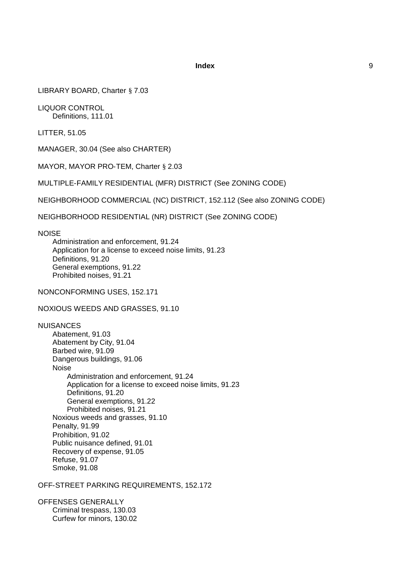LIBRARY BOARD, Charter § 7.03

LIQUOR CONTROL Definitions, 111.01

LITTER, 51.05

MANAGER, 30.04 (See also CHARTER)

MAYOR, MAYOR PRO-TEM, Charter § 2.03

MULTIPLE-FAMILY RESIDENTIAL (MFR) DISTRICT (See ZONING CODE)

NEIGHBORHOOD COMMERCIAL (NC) DISTRICT, 152.112 (See also ZONING CODE)

NEIGHBORHOOD RESIDENTIAL (NR) DISTRICT (See ZONING CODE)

**NOISE** 

Administration and enforcement, 91.24 Application for a license to exceed noise limits, 91.23 Definitions, 91.20 General exemptions, 91.22 Prohibited noises, 91.21

NONCONFORMING USES, 152.171

NOXIOUS WEEDS AND GRASSES, 91.10

NUISANCES Abatement, 91.03 Abatement by City, 91.04 Barbed wire, 91.09 Dangerous buildings, 91.06 Noise Administration and enforcement, 91.24 Application for a license to exceed noise limits, 91.23 Definitions, 91.20 General exemptions, 91.22 Prohibited noises, 91.21 Noxious weeds and grasses, 91.10 Penalty, 91.99 Prohibition, 91.02 Public nuisance defined, 91.01 Recovery of expense, 91.05 Refuse, 91.07 Smoke, 91.08

OFF-STREET PARKING REQUIREMENTS, 152.172

OFFENSES GENERALLY Criminal trespass, 130.03 Curfew for minors, 130.02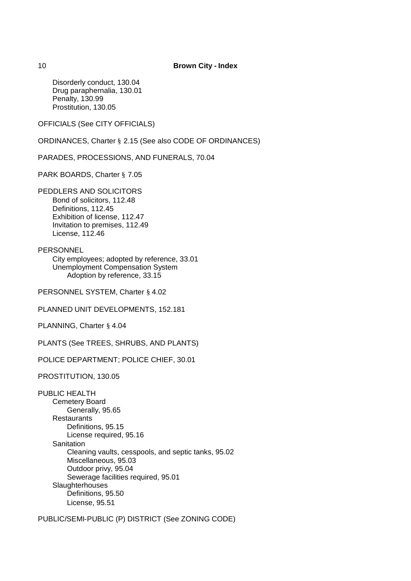Disorderly conduct, 130.04 Drug paraphernalia, 130.01 Penalty, 130.99 Prostitution, 130.05

OFFICIALS (See CITY OFFICIALS)

ORDINANCES, Charter § 2.15 (See also CODE OF ORDINANCES)

PARADES, PROCESSIONS, AND FUNERALS, 70.04

PARK BOARDS, Charter § 7.05

PEDDLERS AND SOLICITORS Bond of solicitors, 112.48 Definitions, 112.45 Exhibition of license, 112.47 Invitation to premises, 112.49 License, 112.46

**PERSONNEL** 

City employees; adopted by reference, 33.01 Unemployment Compensation System Adoption by reference, 33.15

PERSONNEL SYSTEM, Charter § 4.02

PLANNED UNIT DEVELOPMENTS, 152.181

PLANNING, Charter § 4.04

PLANTS (See TREES, SHRUBS, AND PLANTS)

POLICE DEPARTMENT; POLICE CHIEF, 30.01

PROSTITUTION, 130.05

PUBLIC HEALTH Cemetery Board Generally, 95.65 **Restaurants** Definitions, 95.15 License required, 95.16 **Sanitation** Cleaning vaults, cesspools, and septic tanks, 95.02 Miscellaneous, 95.03 Outdoor privy, 95.04 Sewerage facilities required, 95.01 **Slaughterhouses** Definitions, 95.50 License, 95.51

PUBLIC/SEMI-PUBLIC (P) DISTRICT (See ZONING CODE)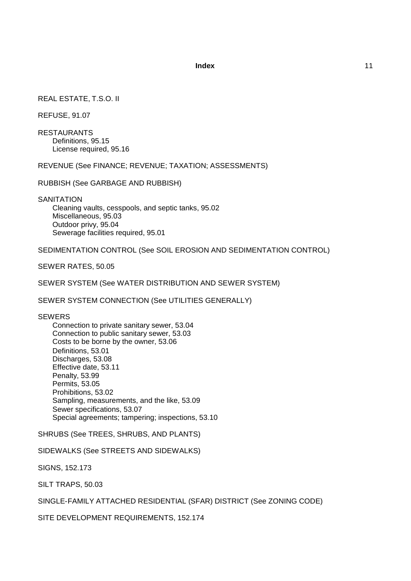# REAL ESTATE, T.S.O. II

REFUSE, 91.07

RESTAURANTS Definitions, 95.15 License required, 95.16

REVENUE (See FINANCE; REVENUE; TAXATION; ASSESSMENTS)

RUBBISH (See GARBAGE AND RUBBISH)

**SANITATION** Cleaning vaults, cesspools, and septic tanks, 95.02 Miscellaneous, 95.03 Outdoor privy, 95.04 Sewerage facilities required, 95.01

SEDIMENTATION CONTROL (See SOIL EROSION AND SEDIMENTATION CONTROL)

SEWER RATES, 50.05

SEWER SYSTEM (See WATER DISTRIBUTION AND SEWER SYSTEM)

SEWER SYSTEM CONNECTION (See UTILITIES GENERALLY)

## **SEWERS**

Connection to private sanitary sewer, 53.04 Connection to public sanitary sewer, 53.03 Costs to be borne by the owner, 53.06 Definitions, 53.01 Discharges, 53.08 Effective date, 53.11 Penalty, 53.99 Permits, 53.05 Prohibitions, 53.02 Sampling, measurements, and the like, 53.09 Sewer specifications, 53.07 Special agreements; tampering; inspections, 53.10

SHRUBS (See TREES, SHRUBS, AND PLANTS)

SIDEWALKS (See STREETS AND SIDEWALKS)

SIGNS, 152.173

SILT TRAPS, 50.03

SINGLE-FAMILY ATTACHED RESIDENTIAL (SFAR) DISTRICT (See ZONING CODE)

SITE DEVELOPMENT REQUIREMENTS, 152.174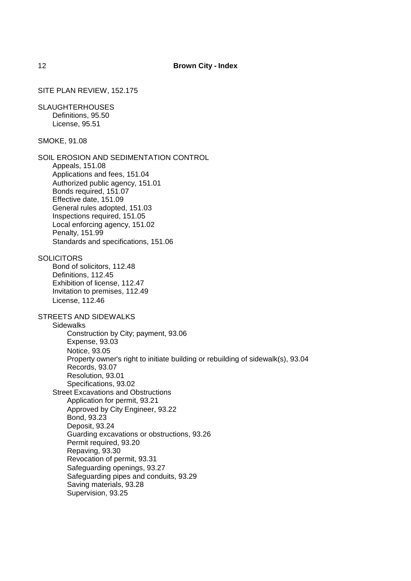## SITE PLAN REVIEW, 152.175

SLAUGHTERHOUSES Definitions, 95.50 License, 95.51

SMOKE, 91.08

SOIL EROSION AND SEDIMENTATION CONTROL Appeals, 151.08 Applications and fees, 151.04 Authorized public agency, 151.01 Bonds required, 151.07 Effective date, 151.09 General rules adopted, 151.03 Inspections required, 151.05 Local enforcing agency, 151.02 Penalty, 151.99 Standards and specifications, 151.06

**SOLICITORS** 

Bond of solicitors, 112.48 Definitions, 112.45 Exhibition of license, 112.47 Invitation to premises, 112.49 License, 112.46

STREETS AND SIDEWALKS

**Sidewalks** 

Construction by City; payment, 93.06 Expense, 93.03 Notice, 93.05 Property owner's right to initiate building or rebuilding of sidewalk(s), 93.04 Records, 93.07 Resolution, 93.01 Specifications, 93.02 Street Excavations and Obstructions Application for permit, 93.21 Approved by City Engineer, 93.22 Bond, 93.23 Deposit, 93.24 Guarding excavations or obstructions, 93.26 Permit required, 93.20 Repaving, 93.30 Revocation of permit, 93.31 Safeguarding openings, 93.27 Safeguarding pipes and conduits, 93.29 Saving materials, 93.28 Supervision, 93.25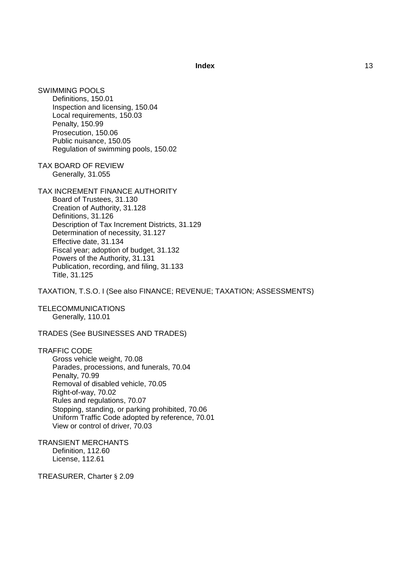SWIMMING POOLS Definitions, 150.01 Inspection and licensing, 150.04 Local requirements, 150.03 Penalty, 150.99 Prosecution, 150.06 Public nuisance, 150.05 Regulation of swimming pools, 150.02

TAX BOARD OF REVIEW Generally, 31.055

TAX INCREMENT FINANCE AUTHORITY

Board of Trustees, 31.130 Creation of Authority, 31.128 Definitions, 31.126 Description of Tax Increment Districts, 31.129 Determination of necessity, 31.127 Effective date, 31.134 Fiscal year; adoption of budget, 31.132 Powers of the Authority, 31.131 Publication, recording, and filing, 31.133 Title, 31.125

TAXATION, T.S.O. I (See also FINANCE; REVENUE; TAXATION; ASSESSMENTS)

TELECOMMUNICATIONS Generally, 110.01

TRADES (See BUSINESSES AND TRADES)

TRAFFIC CODE Gross vehicle weight, 70.08 Parades, processions, and funerals, 70.04 Penalty, 70.99 Removal of disabled vehicle, 70.05 Right-of-way, 70.02 Rules and regulations, 70.07 Stopping, standing, or parking prohibited, 70.06 Uniform Traffic Code adopted by reference, 70.01 View or control of driver, 70.03

TRANSIENT MERCHANTS Definition, 112.60 License, 112.61

TREASURER, Charter § 2.09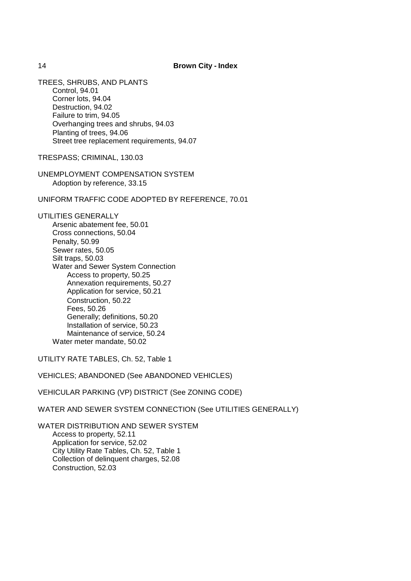TREES, SHRUBS, AND PLANTS Control, 94.01 Corner lots, 94.04 Destruction, 94.02 Failure to trim, 94.05 Overhanging trees and shrubs, 94.03 Planting of trees, 94.06 Street tree replacement requirements, 94.07

TRESPASS; CRIMINAL, 130.03

UNEMPLOYMENT COMPENSATION SYSTEM Adoption by reference, 33.15

UNIFORM TRAFFIC CODE ADOPTED BY REFERENCE, 70.01

UTILITIES GENERALLY Arsenic abatement fee, 50.01 Cross connections, 50.04 Penalty, 50.99 Sewer rates, 50.05 Silt traps, 50.03 Water and Sewer System Connection Access to property, 50.25 Annexation requirements, 50.27 Application for service, 50.21 Construction, 50.22 Fees, 50.26 Generally; definitions, 50.20 Installation of service, 50.23 Maintenance of service, 50.24 Water meter mandate, 50.02

UTILITY RATE TABLES, Ch. 52, Table 1

VEHICLES; ABANDONED (See ABANDONED VEHICLES)

VEHICULAR PARKING (VP) DISTRICT (See ZONING CODE)

WATER AND SEWER SYSTEM CONNECTION (See UTILITIES GENERALLY)

WATER DISTRIBUTION AND SEWER SYSTEM Access to property, 52.11 Application for service, 52.02 City Utility Rate Tables, Ch. 52, Table 1 Collection of delinquent charges, 52.08 Construction, 52.03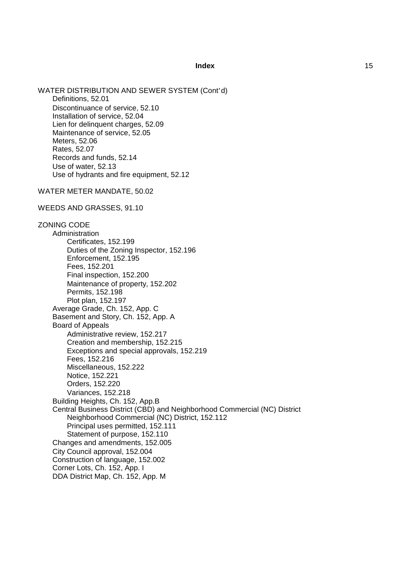WATER DISTRIBUTION AND SEWER SYSTEM (Cont'd) Definitions, 52.01 Discontinuance of service, 52.10 Installation of service, 52.04 Lien for delinquent charges, 52.09 Maintenance of service, 52.05 Meters, 52.06 Rates, 52.07 Records and funds, 52.14 Use of water, 52.13 Use of hydrants and fire equipment, 52.12 WATER METER MANDATE, 50.02 WEEDS AND GRASSES, 91.10 ZONING CODE Administration Certificates, 152.199 Duties of the Zoning Inspector, 152.196 Enforcement, 152.195 Fees, 152.201 Final inspection, 152.200 Maintenance of property, 152.202 Permits, 152.198 Plot plan, 152.197 Average Grade, Ch. 152, App. C Basement and Story, Ch. 152, App. A Board of Appeals Administrative review, 152.217 Creation and membership, 152.215 Exceptions and special approvals, 152.219 Fees, 152.216 Miscellaneous, 152.222 Notice, 152.221 Orders, 152.220 Variances, 152.218 Building Heights, Ch. 152, App.B Central Business District (CBD) and Neighborhood Commercial (NC) District Neighborhood Commercial (NC) District, 152.112 Principal uses permitted, 152.111 Statement of purpose, 152.110 Changes and amendments, 152.005

City Council approval, 152.004

Construction of language, 152.002

Corner Lots, Ch. 152, App. I

DDA District Map, Ch. 152, App. M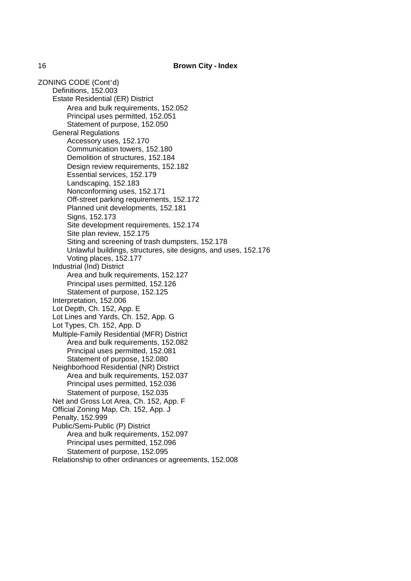ZONING CODE (Cont'd) Definitions, 152.003 Estate Residential (ER) District Area and bulk requirements, 152.052 Principal uses permitted, 152.051 Statement of purpose, 152.050 General Regulations Accessory uses, 152.170 Communication towers, 152.180 Demolition of structures, 152.184 Design review requirements, 152.182 Essential services, 152.179 Landscaping, 152.183 Nonconforming uses, 152.171 Off-street parking requirements, 152.172 Planned unit developments, 152.181 Signs, 152.173 Site development requirements, 152.174 Site plan review, 152.175 Siting and screening of trash dumpsters, 152.178 Unlawful buildings, structures, site designs, and uses, 152.176 Voting places, 152.177 Industrial (Ind) District Area and bulk requirements, 152.127 Principal uses permitted, 152.126 Statement of purpose, 152.125 Interpretation, 152.006 Lot Depth, Ch. 152, App. E Lot Lines and Yards, Ch. 152, App. G Lot Types, Ch. 152, App. D Multiple-Family Residential (MFR) District Area and bulk requirements, 152.082 Principal uses permitted, 152.081 Statement of purpose, 152.080 Neighborhood Residential (NR) District Area and bulk requirements, 152.037 Principal uses permitted, 152.036 Statement of purpose, 152.035 Net and Gross Lot Area, Ch. 152, App. F Official Zoning Map, Ch. 152, App. J Penalty, 152.999 Public/Semi-Public (P) District Area and bulk requirements, 152.097 Principal uses permitted, 152.096 Statement of purpose, 152.095 Relationship to other ordinances or agreements, 152.008